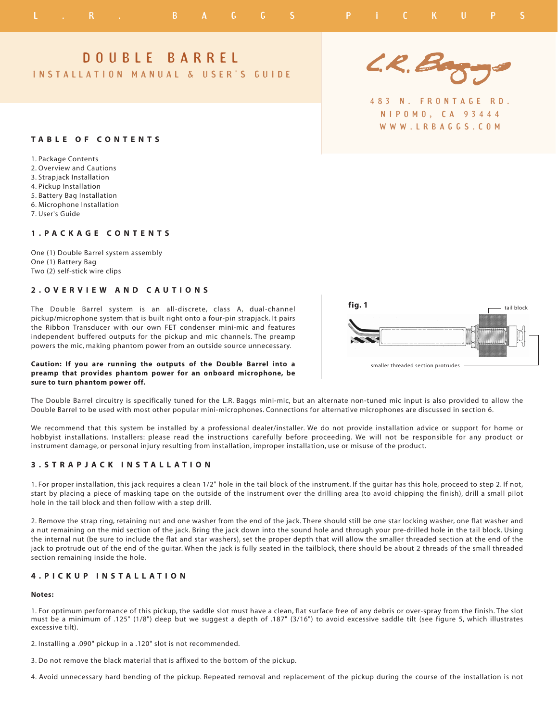# D O U B L E B A R R E L

IN STALLATION MANUAL & USER'S GUIDE

## **T A B L E O F C O N T E N T S**

1. Package Contents 2. Overview and Cautions 3. Strapjack Installation 4. Pickup Installation 5. Battery Bag Installation 6. Microphone Installation

7. User's Guide

## **1 . P A C K A G E C O N T E N T S**

One (1) Double Barrel system assembly One (1) Battery Bag Two (2) self-stick wire clips

## **2 . O V E R V I E W A N D C A U T I O N S**

The Double Barrel system is an all-discrete, class A, dual-channel pickup/microphone system that is built right onto a four-pin strapjack. It pairs the Ribbon Transducer with our own FET condenser mini-mic and features independent buffered outputs for the pickup and mic channels. The preamp powers the mic, making phantom power from an outside source unnecessary.

## **Caution: If you are running the outputs of the Double Barrel into a preamp that provides phantom power for an onboard microphone, be sure to turn phantom power off.**



4 8 3 N . F R O N T A G E R D . N I P O M O , C A 9 3 4 4 4 W W W . L R B A G G S . C O M



The Double Barrel circuitry is specifically tuned for the L.R. Baggs mini-mic, but an alternate non-tuned mic input is also provided to allow the Double Barrel to be used with most other popular mini-microphones. Connections for alternative microphones are discussed in section 6.

We recommend that this system be installed by a professional dealer/installer. We do not provide installation advice or support for home or hobbyist installations. Installers: please read the instructions carefully before proceeding. We will not be responsible for any product or instrument damage, or personal injury resulting from installation, improper installation, use or misuse of the product.

## **3 . S T R A P J A C K I N S T A L L A T I O N**

1. For proper installation, this jack requires a clean 1/2" hole in the tail block of the instrument. If the guitar has this hole, proceed to step 2. If not, start by placing a piece of masking tape on the outside of the instrument over the drilling area (to avoid chipping the finish), drill a small pilot hole in the tail block and then follow with a step drill.

2. Remove the strap ring, retaining nut and one washer from the end of the jack. There should still be one star locking washer, one flat washer and a nut remaining on the mid section of the jack. Bring the jack down into the sound hole and through your pre-drilled hole in the tail block. Using the internal nut (be sure to include the flat and star washers), set the proper depth that will allow the smaller threaded section at the end of the jack to protrude out of the end of the guitar. When the jack is fully seated in the tailblock, there should be about 2 threads of the small threaded section remaining inside the hole.

## **4 . P I C K U P I N S T A L L A T I O N**

#### **Notes:**

1. For optimum performance of this pickup, the saddle slot must have a clean, flat surface free of any debris or over-spray from the finish. The slot must be a minimum of .125" (1/8") deep but we suggest a depth of .187" (3/16") to avoid excessive saddle tilt (see figure 5, which illustrates excessive tilt).

2. Installing a .090" pickup in a .120" slot is not recommended.

3. Do not remove the black material that is affixed to the bottom of the pickup.

4. Avoid unnecessary hard bending of the pickup. Repeated removal and replacement of the pickup during the course of the installation is not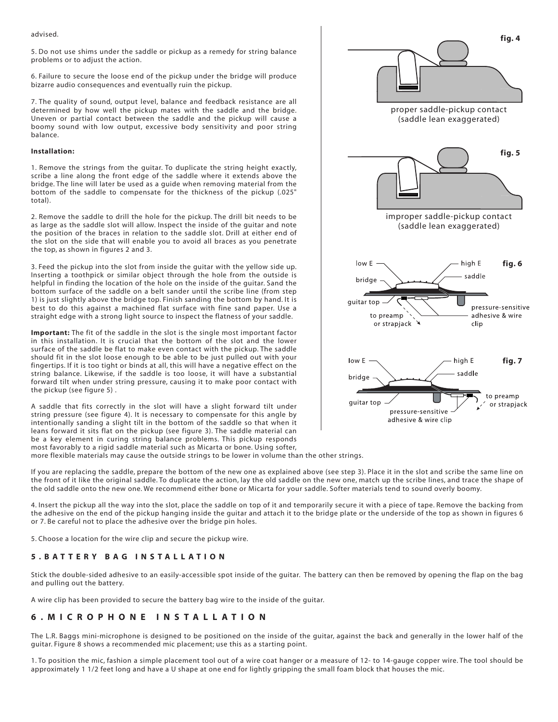advised.

5. Do not use shims under the saddle or pickup as a remedy for string balance problems or to adjust the action.

6. Failure to secure the loose end of the pickup under the bridge will produce bizarre audio consequences and eventually ruin the pickup.

7. The quality of sound, output level, balance and feedback resistance are all determined by how well the pickup mates with the saddle and the bridge. Uneven or partial contact between the saddle and the pickup will cause a boomy sound with low output, excessive body sensitivity and poor string balance.

#### **Installation:**

1. Remove the strings from the guitar. To duplicate the string height exactly, scribe a line along the front edge of the saddle where it extends above the bridge. The line will later be used as a guide when removing material from the bottom of the saddle to compensate for the thickness of the pickup (.025" total).

2. Remove the saddle to drill the hole for the pickup. The drill bit needs to be as large as the saddle slot will allow. Inspect the inside of the guitar and note the position of the braces in relation to the saddle slot. Drill at either end of the slot on the side that will enable you to avoid all braces as you penetrate the top, as shown in figures 2 and 3.

3. Feed the pickup into the slot from inside the guitar with the yellow side up. Inserting a toothpick or similar object through the hole from the outside is helpful in finding the location of the hole on the inside of the guitar. Sand the bottom surface of the saddle on a belt sander until the scribe line (from step 1) is just slightly above the bridge top. Finish sanding the bottom by hand. It is best to do this against a machined flat surface with fine sand paper. Use a straight edge with a strong light source to inspect the flatness of your saddle.

**Important:** The fit of the saddle in the slot is the single most important factor in this installation. It is crucial that the bottom of the slot and the lower surface of the saddle be flat to make even contact with the pickup. The saddle should fit in the slot loose enough to be able to be just pulled out with your fingertips. If it is too tight or binds at all, this will have a negative effect on the string balance. Likewise, if the saddle is too loose, it will have a substantial forward tilt when under string pressure, causing it to make poor contact with the pickup (see figure 5) .

A saddle that fits correctly in the slot will have a slight forward tilt under string pressure (see figure 4). It is necessary to compensate for this angle by intentionally sanding a slight tilt in the bottom of the saddle so that when it leans forward it sits flat on the pickup (see figure 3). The saddle material can be a key element in curing string balance problems. This pickup responds most favorably to a rigid saddle material such as Micarta or bone. Using softer,



more flexible materials may cause the outside strings to be lower in volume than the other strings.

If you are replacing the saddle, prepare the bottom of the new one as explained above (see step 3). Place it in the slot and scribe the same line on the front of it like the original saddle. To duplicate the action, lay the old saddle on the new one, match up the scribe lines, and trace the shape of the old saddle onto the new one. We recommend either bone or Micarta for your saddle. Softer materials tend to sound overly boomy.

4. Insert the pickup all the way into the slot, place the saddle on top of it and temporarily secure it with a piece of tape. Remove the backing from the adhesive on the end of the pickup hanging inside the guitar and attach it to the bridge plate or the underside of the top as shown in figures 6 or 7. Be careful not to place the adhesive over the bridge pin holes.

5. Choose a location for the wire clip and secure the pickup wire.

# **5 . B A T T E R Y B A G I N S T A L L A T I O N**

Stick the double-sided adhesive to an easily-accessible spot inside of the guitar. The battery can then be removed by opening the flap on the bag and pulling out the battery.

A wire clip has been provided to secure the battery bag wire to the inside of the guitar.

## **6 . M I C R O P H O N E I N S T A L L A T I O N**

The L.R. Baggs mini-microphone is designed to be positioned on the inside of the guitar, against the back and generally in the lower half of the guitar. Figure 8 shows a recommended mic placement; use this as a starting point.

1. To position the mic, fashion a simple placement tool out of a wire coat hanger or a measure of 12- to 14-gauge copper wire. The tool should be approximately 1 1/2 feet long and have a U shape at one end for lightly gripping the small foam block that houses the mic.